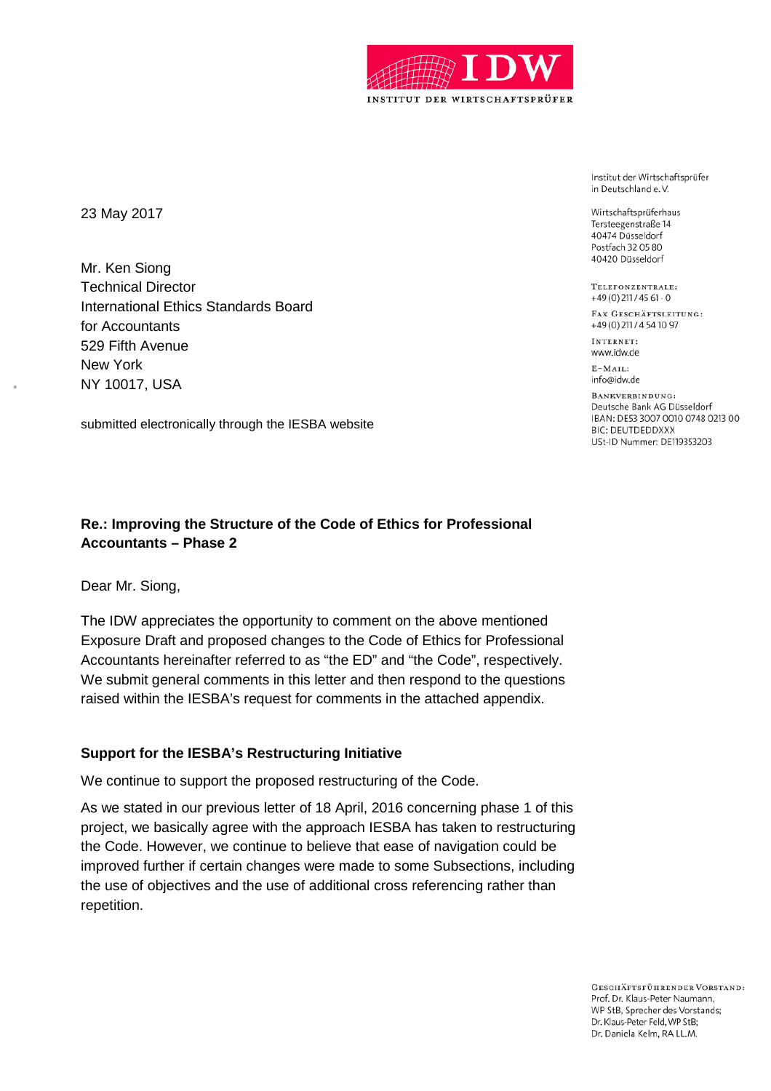

23 May 2017

Mr. Ken Siong Technical Director International Ethics Standards Board for Accountants 529 Fifth Avenue New York NY 10017, USA

submitted electronically through the IESBA website

## **Re.: Improving the Structure of the Code of Ethics for Professional Accountants – Phase 2**

Dear Mr. Siong,

The IDW appreciates the opportunity to comment on the above mentioned Exposure Draft and proposed changes to the Code of Ethics for Professional Accountants hereinafter referred to as "the ED" and "the Code", respectively. We submit general comments in this letter and then respond to the questions raised within the IESBA's request for comments in the attached appendix.

#### **Support for the IESBA's Restructuring Initiative**

We continue to support the proposed restructuring of the Code.

As we stated in our previous letter of 18 April, 2016 concerning phase 1 of this project, we basically agree with the approach IESBA has taken to restructuring the Code. However, we continue to believe that ease of navigation could be improved further if certain changes were made to some Subsections, including the use of objectives and the use of additional cross referencing rather than repetition.

Institut der Wirtschaftsprüfer in Deutschland e.V.

Wirtschaftsprüferhaus Tersteegenstraße 14 40474 Düsseldorf Postfach 32 05 80 40420 Düsseldorf

TELEFONZENTRALE:  $+49(0)$  211 / 45 61 - 0

FAX GESCHÄFTSLEITUNG: +49(0)211/4541097

INTERNET: www.idw.de

 $E-MAIL:$ info@idw.de

BANKVERBINDUNG: Deutsche Bank AG Düsseldorf IBAN: DE53 3007 0010 0748 0213 00 **BIC: DEUTDEDDXXX** USt-ID Nummer: DE119353203

**GESCHÄFTSFÜHRENDER VORSTAND:** Prof. Dr. Klaus-Peter Naumann, WP StB, Sprecher des Vorstands; Dr. Klaus-Peter Feld, WP StB; Dr. Daniela Kelm, RA LL.M.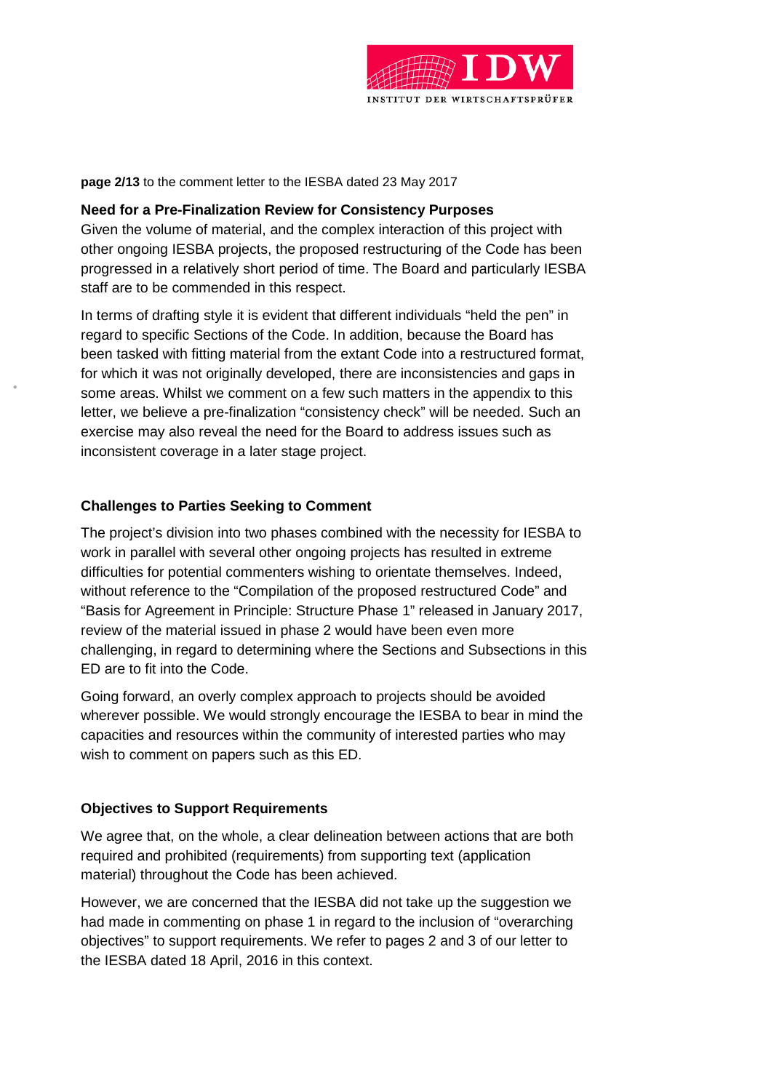

**page 2/13** to the comment letter to the IESBA dated 23 May 2017

#### **Need for a Pre-Finalization Review for Consistency Purposes**

Given the volume of material, and the complex interaction of this project with other ongoing IESBA projects, the proposed restructuring of the Code has been progressed in a relatively short period of time. The Board and particularly IESBA staff are to be commended in this respect.

In terms of drafting style it is evident that different individuals "held the pen" in regard to specific Sections of the Code. In addition, because the Board has been tasked with fitting material from the extant Code into a restructured format, for which it was not originally developed, there are inconsistencies and gaps in some areas. Whilst we comment on a few such matters in the appendix to this letter, we believe a pre-finalization "consistency check" will be needed. Such an exercise may also reveal the need for the Board to address issues such as inconsistent coverage in a later stage project.

#### **Challenges to Parties Seeking to Comment**

The project's division into two phases combined with the necessity for IESBA to work in parallel with several other ongoing projects has resulted in extreme difficulties for potential commenters wishing to orientate themselves. Indeed, without reference to the "Compilation of the proposed restructured Code" and "Basis for Agreement in Principle: Structure Phase 1" released in January 2017, review of the material issued in phase 2 would have been even more challenging, in regard to determining where the Sections and Subsections in this ED are to fit into the Code.

Going forward, an overly complex approach to projects should be avoided wherever possible. We would strongly encourage the IESBA to bear in mind the capacities and resources within the community of interested parties who may wish to comment on papers such as this ED.

#### **Objectives to Support Requirements**

We agree that, on the whole, a clear delineation between actions that are both required and prohibited (requirements) from supporting text (application material) throughout the Code has been achieved.

However, we are concerned that the IESBA did not take up the suggestion we had made in commenting on phase 1 in regard to the inclusion of "overarching objectives" to support requirements. We refer to pages 2 and 3 of our letter to the IESBA dated 18 April, 2016 in this context.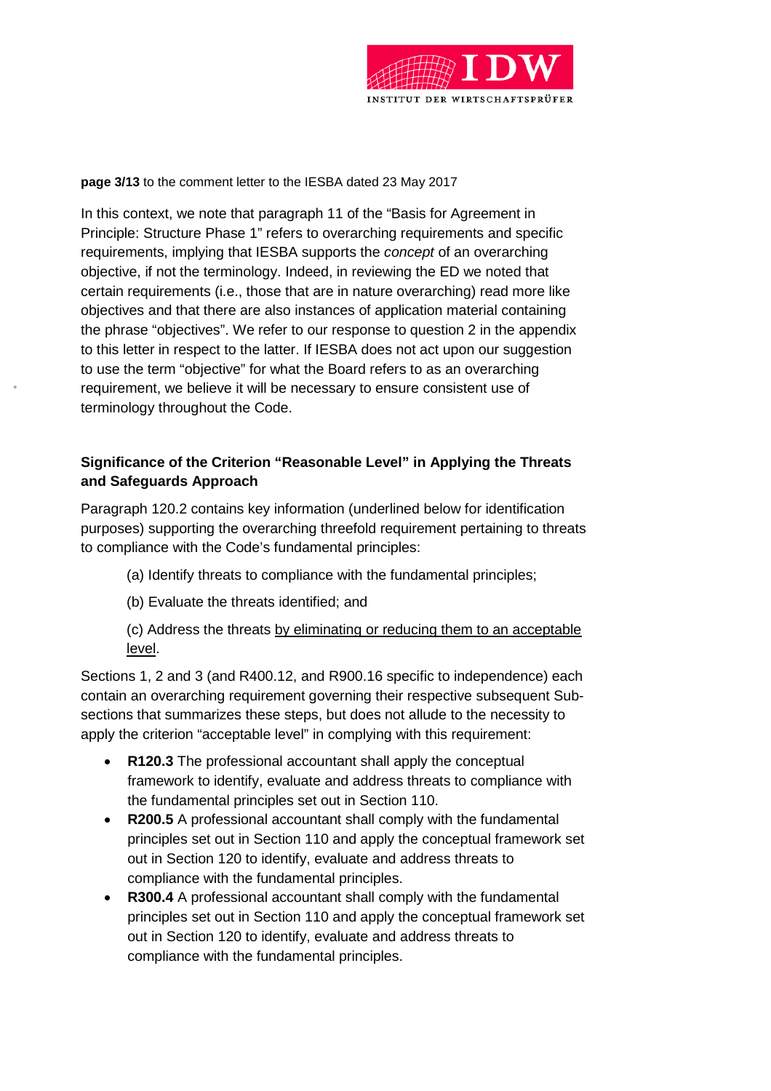

**page 3/13** to the comment letter to the IESBA dated 23 May 2017

In this context, we note that paragraph 11 of the "Basis for Agreement in Principle: Structure Phase 1" refers to overarching requirements and specific requirements, implying that IESBA supports the *concept* of an overarching objective, if not the terminology. Indeed, in reviewing the ED we noted that certain requirements (i.e., those that are in nature overarching) read more like objectives and that there are also instances of application material containing the phrase "objectives". We refer to our response to question 2 in the appendix to this letter in respect to the latter. If IESBA does not act upon our suggestion to use the term "objective" for what the Board refers to as an overarching requirement, we believe it will be necessary to ensure consistent use of terminology throughout the Code.

# **Significance of the Criterion "Reasonable Level" in Applying the Threats and Safeguards Approach**

Paragraph 120.2 contains key information (underlined below for identification purposes) supporting the overarching threefold requirement pertaining to threats to compliance with the Code's fundamental principles:

- (a) Identify threats to compliance with the fundamental principles;
- (b) Evaluate the threats identified; and

(c) Address the threats by eliminating or reducing them to an acceptable level.

Sections 1, 2 and 3 (and R400.12, and R900.16 specific to independence) each contain an overarching requirement governing their respective subsequent Subsections that summarizes these steps, but does not allude to the necessity to apply the criterion "acceptable level" in complying with this requirement:

- **R120.3** The professional accountant shall apply the conceptual framework to identify, evaluate and address threats to compliance with the fundamental principles set out in Section 110.
- **R200.5** A professional accountant shall comply with the fundamental principles set out in Section 110 and apply the conceptual framework set out in Section 120 to identify, evaluate and address threats to compliance with the fundamental principles.
- **R300.4** A professional accountant shall comply with the fundamental principles set out in Section 110 and apply the conceptual framework set out in Section 120 to identify, evaluate and address threats to compliance with the fundamental principles.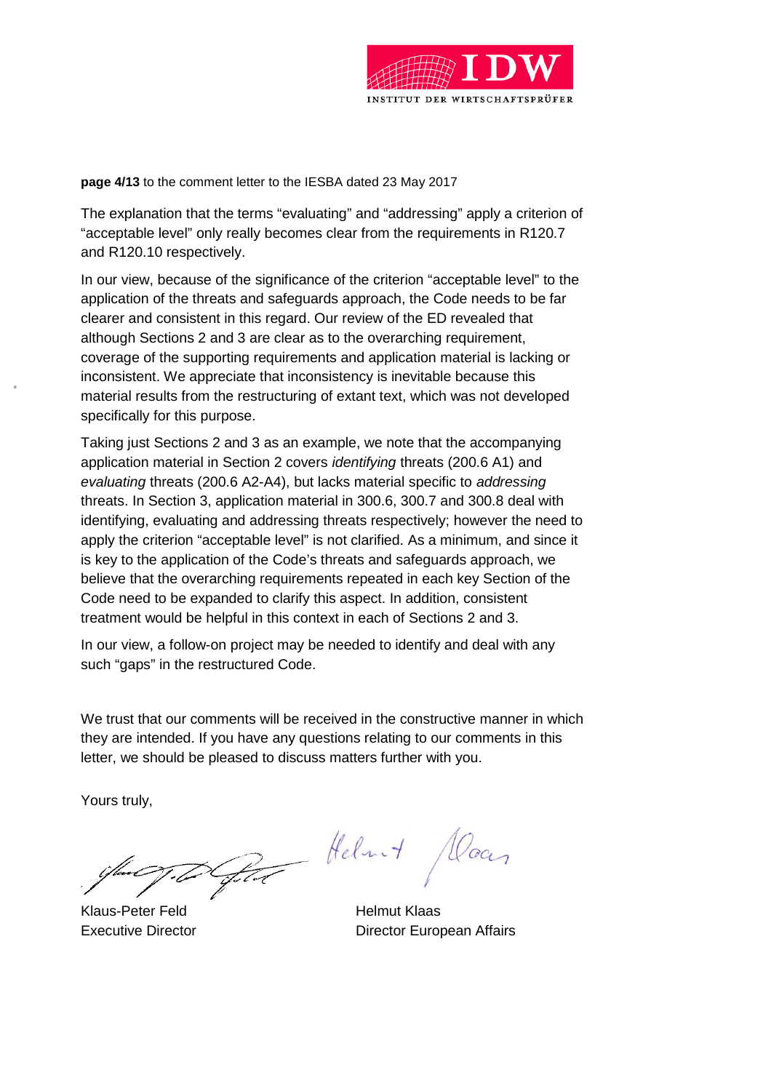

**page 4/13** to the comment letter to the IESBA dated 23 May 2017

The explanation that the terms "evaluating" and "addressing" apply a criterion of "acceptable level" only really becomes clear from the requirements in R120.7 and R120.10 respectively.

In our view, because of the significance of the criterion "acceptable level" to the application of the threats and safeguards approach, the Code needs to be far clearer and consistent in this regard. Our review of the ED revealed that although Sections 2 and 3 are clear as to the overarching requirement, coverage of the supporting requirements and application material is lacking or inconsistent. We appreciate that inconsistency is inevitable because this material results from the restructuring of extant text, which was not developed specifically for this purpose.

Taking just Sections 2 and 3 as an example, we note that the accompanying application material in Section 2 covers *identifying* threats (200.6 A1) and *evaluating* threats (200.6 A2-A4), but lacks material specific to *addressing* threats. In Section 3, application material in 300.6, 300.7 and 300.8 deal with identifying, evaluating and addressing threats respectively; however the need to apply the criterion "acceptable level" is not clarified. As a minimum, and since it is key to the application of the Code's threats and safeguards approach, we believe that the overarching requirements repeated in each key Section of the Code need to be expanded to clarify this aspect. In addition, consistent treatment would be helpful in this context in each of Sections 2 and 3.

In our view, a follow-on project may be needed to identify and deal with any such "gaps" in the restructured Code.

We trust that our comments will be received in the constructive manner in which they are intended. If you have any questions relating to our comments in this letter, we should be pleased to discuss matters further with you.

Yours truly,

Klaus-Peter Feld Helmut Klaas

Par Helmit Daar

Executive Director **Executive Director Executive Director** European Affairs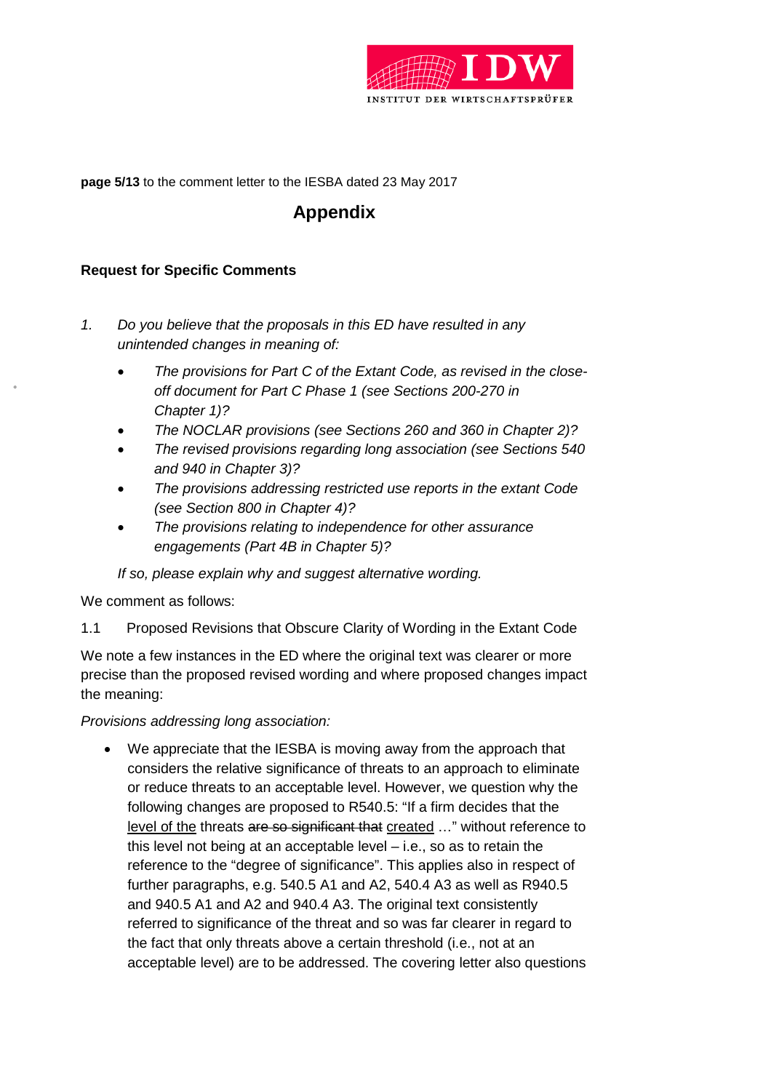

**page 5/13** to the comment letter to the IESBA dated 23 May 2017

# **Appendix**

## **Request for Specific Comments**

- *1. Do you believe that the proposals in this ED have resulted in any unintended changes in meaning of:*
	- *The provisions for Part C of the Extant Code, as revised in the closeoff document for Part C Phase 1 (see Sections 200-270 in Chapter 1)?*
	- *The NOCLAR provisions (see Sections 260 and 360 in Chapter 2)?*
	- *The revised provisions regarding long association (see Sections 540 and 940 in Chapter 3)?*
	- *The provisions addressing restricted use reports in the extant Code (see Section 800 in Chapter 4)?*
	- *The provisions relating to independence for other assurance engagements (Part 4B in Chapter 5)?*

*If so, please explain why and suggest alternative wording.*

We comment as follows:

1.1 Proposed Revisions that Obscure Clarity of Wording in the Extant Code

We note a few instances in the ED where the original text was clearer or more precise than the proposed revised wording and where proposed changes impact the meaning:

*Provisions addressing long association:*

 We appreciate that the IESBA is moving away from the approach that considers the relative significance of threats to an approach to eliminate or reduce threats to an acceptable level. However, we question why the following changes are proposed to R540.5: "If a firm decides that the level of the threats are so significant that created ..." without reference to this level not being at an acceptable level – i.e., so as to retain the reference to the "degree of significance". This applies also in respect of further paragraphs, e.g. 540.5 A1 and A2, 540.4 A3 as well as R940.5 and 940.5 A1 and A2 and 940.4 A3. The original text consistently referred to significance of the threat and so was far clearer in regard to the fact that only threats above a certain threshold (i.e., not at an acceptable level) are to be addressed. The covering letter also questions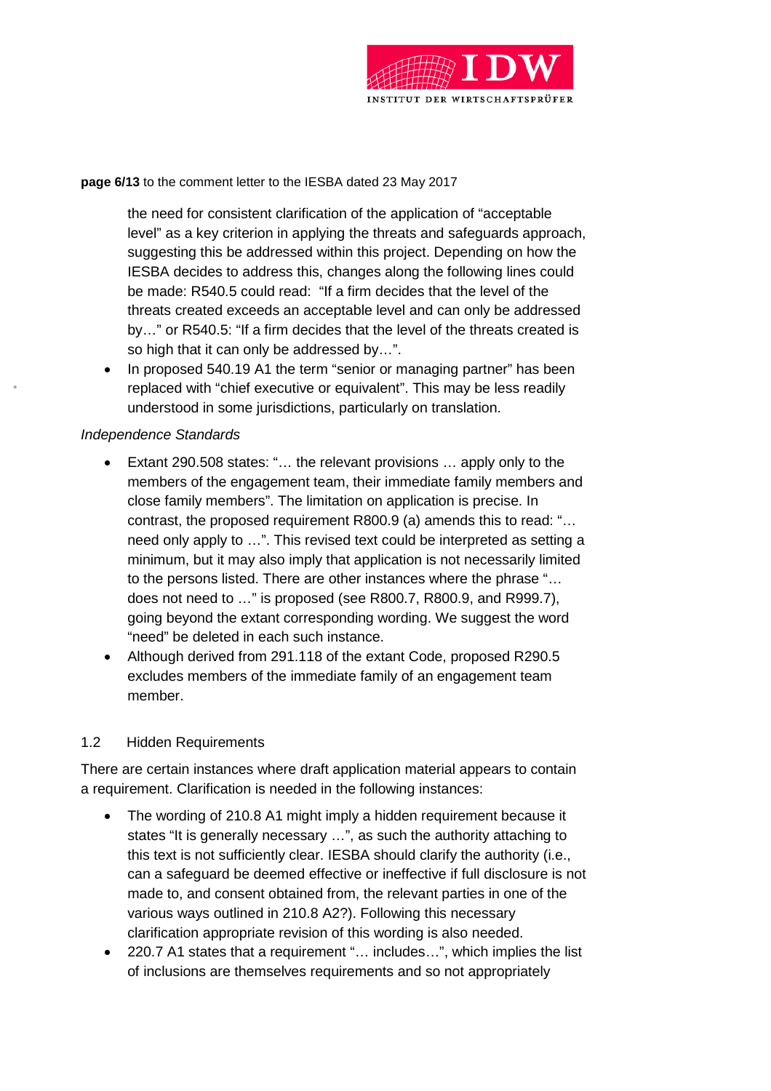

**page 6/13** to the comment letter to the IESBA dated 23 May 2017

the need for consistent clarification of the application of "acceptable level" as a key criterion in applying the threats and safeguards approach, suggesting this be addressed within this project. Depending on how the IESBA decides to address this, changes along the following lines could be made: R540.5 could read: "If a firm decides that the level of the threats created exceeds an acceptable level and can only be addressed by…" or R540.5: "If a firm decides that the level of the threats created is so high that it can only be addressed by…".

 In proposed 540.19 A1 the term "senior or managing partner" has been replaced with "chief executive or equivalent". This may be less readily understood in some jurisdictions, particularly on translation.

#### *Independence Standards*

- Extant 290.508 states: "… the relevant provisions … apply only to the members of the engagement team, their immediate family members and close family members". The limitation on application is precise. In contrast, the proposed requirement R800.9 (a) amends this to read: "… need only apply to …". This revised text could be interpreted as setting a minimum, but it may also imply that application is not necessarily limited to the persons listed. There are other instances where the phrase "… does not need to …" is proposed (see R800.7, R800.9, and R999.7), going beyond the extant corresponding wording. We suggest the word "need" be deleted in each such instance.
- Although derived from 291.118 of the extant Code, proposed R290.5 excludes members of the immediate family of an engagement team member.

## 1.2 Hidden Requirements

There are certain instances where draft application material appears to contain a requirement. Clarification is needed in the following instances:

- The wording of 210.8 A1 might imply a hidden requirement because it states "It is generally necessary …", as such the authority attaching to this text is not sufficiently clear. IESBA should clarify the authority (i.e., can a safeguard be deemed effective or ineffective if full disclosure is not made to, and consent obtained from, the relevant parties in one of the various ways outlined in 210.8 A2?). Following this necessary clarification appropriate revision of this wording is also needed.
- 220.7 A1 states that a requirement "… includes…", which implies the list of inclusions are themselves requirements and so not appropriately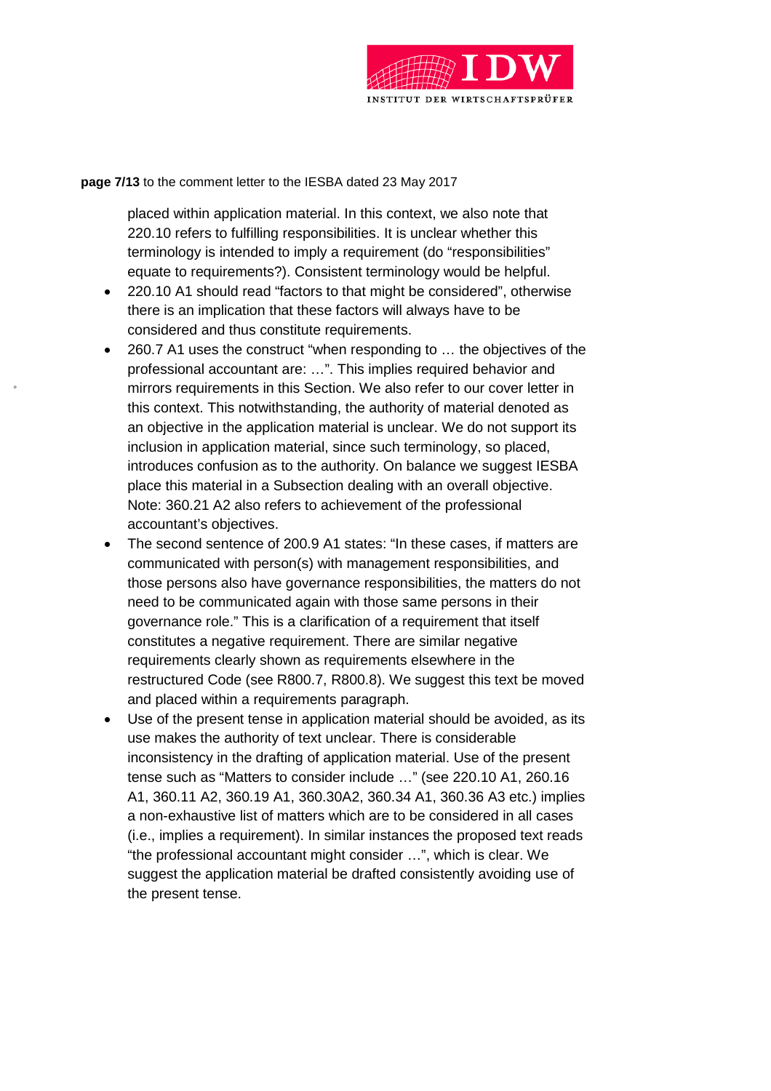

**page 7/13** to the comment letter to the IESBA dated 23 May 2017

placed within application material. In this context, we also note that 220.10 refers to fulfilling responsibilities. It is unclear whether this terminology is intended to imply a requirement (do "responsibilities" equate to requirements?). Consistent terminology would be helpful.

- 220.10 A1 should read "factors to that might be considered", otherwise there is an implication that these factors will always have to be considered and thus constitute requirements.
- 260.7 A1 uses the construct "when responding to … the objectives of the professional accountant are: …". This implies required behavior and mirrors requirements in this Section. We also refer to our cover letter in this context. This notwithstanding, the authority of material denoted as an objective in the application material is unclear. We do not support its inclusion in application material, since such terminology, so placed, introduces confusion as to the authority. On balance we suggest IESBA place this material in a Subsection dealing with an overall objective. Note: 360.21 A2 also refers to achievement of the professional accountant's objectives.
- The second sentence of 200.9 A1 states: "In these cases, if matters are communicated with person(s) with management responsibilities, and those persons also have governance responsibilities, the matters do not need to be communicated again with those same persons in their governance role." This is a clarification of a requirement that itself constitutes a negative requirement. There are similar negative requirements clearly shown as requirements elsewhere in the restructured Code (see R800.7, R800.8). We suggest this text be moved and placed within a requirements paragraph.
- Use of the present tense in application material should be avoided, as its use makes the authority of text unclear. There is considerable inconsistency in the drafting of application material. Use of the present tense such as "Matters to consider include …" (see 220.10 A1, 260.16 A1, 360.11 A2, 360.19 A1, 360.30A2, 360.34 A1, 360.36 A3 etc.) implies a non-exhaustive list of matters which are to be considered in all cases (i.e., implies a requirement). In similar instances the proposed text reads "the professional accountant might consider …", which is clear. We suggest the application material be drafted consistently avoiding use of the present tense.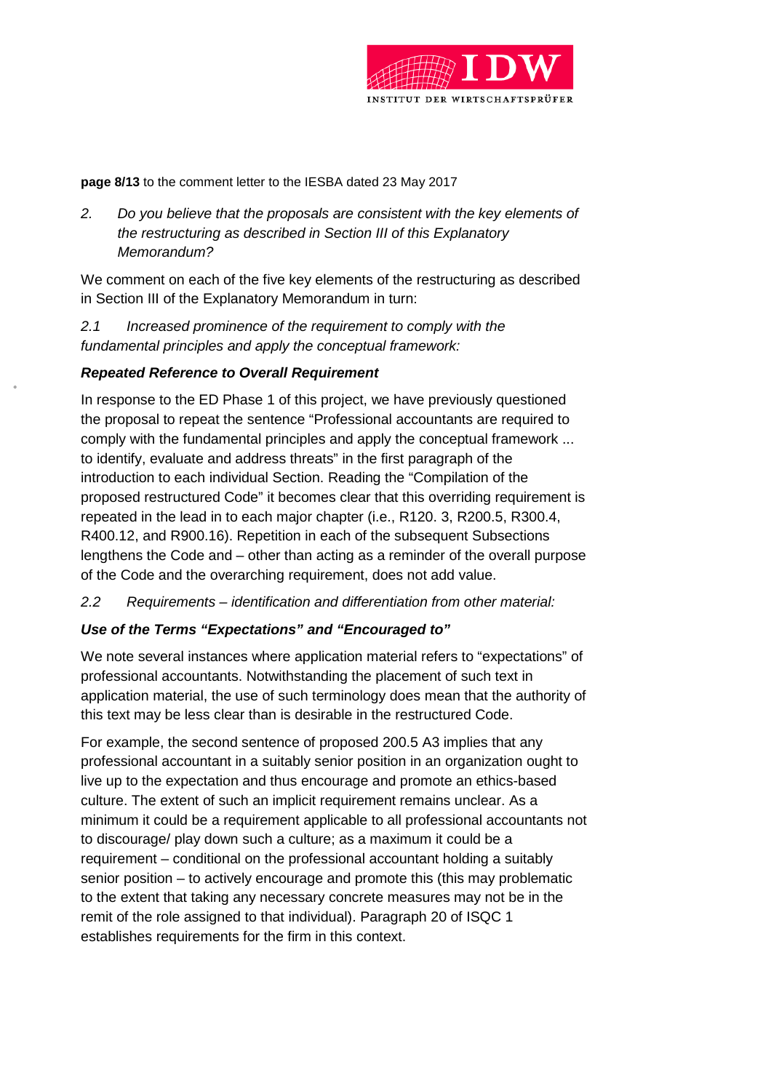

**page 8/13** to the comment letter to the IESBA dated 23 May 2017

*2. Do you believe that the proposals are consistent with the key elements of the restructuring as described in Section III of this Explanatory Memorandum?*

We comment on each of the five key elements of the restructuring as described in Section III of the Explanatory Memorandum in turn:

*2.1 Increased prominence of the requirement to comply with the fundamental principles and apply the conceptual framework:*

## *Repeated Reference to Overall Requirement*

In response to the ED Phase 1 of this project, we have previously questioned the proposal to repeat the sentence "Professional accountants are required to comply with the fundamental principles and apply the conceptual framework ... to identify, evaluate and address threats" in the first paragraph of the introduction to each individual Section. Reading the "Compilation of the proposed restructured Code" it becomes clear that this overriding requirement is repeated in the lead in to each major chapter (i.e., R120. 3, R200.5, R300.4, R400.12, and R900.16). Repetition in each of the subsequent Subsections lengthens the Code and – other than acting as a reminder of the overall purpose of the Code and the overarching requirement, does not add value.

*2.2 Requirements – identification and differentiation from other material:*

## *Use of the Terms "Expectations" and "Encouraged to"*

We note several instances where application material refers to "expectations" of professional accountants. Notwithstanding the placement of such text in application material, the use of such terminology does mean that the authority of this text may be less clear than is desirable in the restructured Code.

For example, the second sentence of proposed 200.5 A3 implies that any professional accountant in a suitably senior position in an organization ought to live up to the expectation and thus encourage and promote an ethics-based culture. The extent of such an implicit requirement remains unclear. As a minimum it could be a requirement applicable to all professional accountants not to discourage/ play down such a culture; as a maximum it could be a requirement – conditional on the professional accountant holding a suitably senior position – to actively encourage and promote this (this may problematic to the extent that taking any necessary concrete measures may not be in the remit of the role assigned to that individual). Paragraph 20 of ISQC 1 establishes requirements for the firm in this context.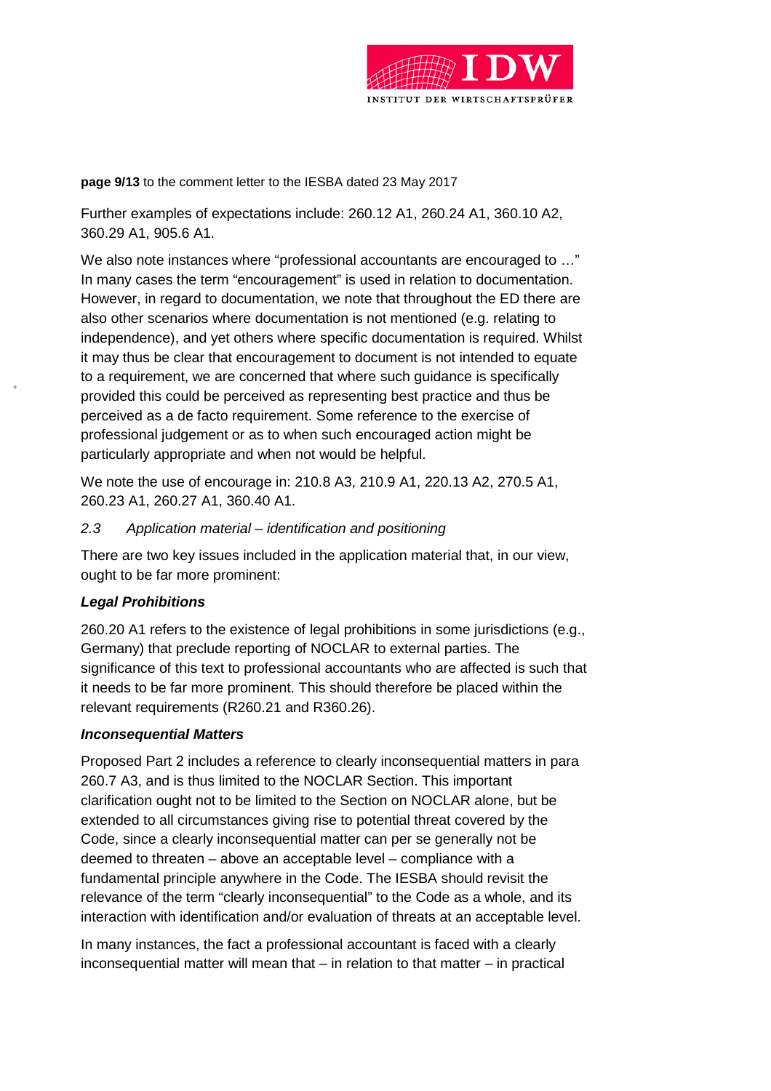

**page 9/13** to the comment letter to the IESBA dated 23 May 2017

Further examples of expectations include: 260.12 A1, 260.24 A1, 360.10 A2, 360.29 A1, 905.6 A1.

We also note instances where "professional accountants are encouraged to …" In many cases the term "encouragement" is used in relation to documentation. However, in regard to documentation, we note that throughout the ED there are also other scenarios where documentation is not mentioned (e.g. relating to independence), and yet others where specific documentation is required. Whilst it may thus be clear that encouragement to document is not intended to equate to a requirement, we are concerned that where such guidance is specifically provided this could be perceived as representing best practice and thus be perceived as a de facto requirement. Some reference to the exercise of professional judgement or as to when such encouraged action might be particularly appropriate and when not would be helpful.

We note the use of encourage in: 210.8 A3, 210.9 A1, 220.13 A2, 270.5 A1, 260.23 A1, 260.27 A1, 360.40 A1.

#### *2.3 Application material – identification and positioning*

There are two key issues included in the application material that, in our view, ought to be far more prominent:

## *Legal Prohibitions*

260.20 A1 refers to the existence of legal prohibitions in some jurisdictions (e.g., Germany) that preclude reporting of NOCLAR to external parties. The significance of this text to professional accountants who are affected is such that it needs to be far more prominent. This should therefore be placed within the relevant requirements (R260.21 and R360.26).

#### *Inconsequential Matters*

Proposed Part 2 includes a reference to clearly inconsequential matters in para 260.7 A3, and is thus limited to the NOCLAR Section. This important clarification ought not to be limited to the Section on NOCLAR alone, but be extended to all circumstances giving rise to potential threat covered by the Code, since a clearly inconsequential matter can per se generally not be deemed to threaten – above an acceptable level – compliance with a fundamental principle anywhere in the Code. The IESBA should revisit the relevance of the term "clearly inconsequential" to the Code as a whole, and its interaction with identification and/or evaluation of threats at an acceptable level.

In many instances, the fact a professional accountant is faced with a clearly inconsequential matter will mean that – in relation to that matter – in practical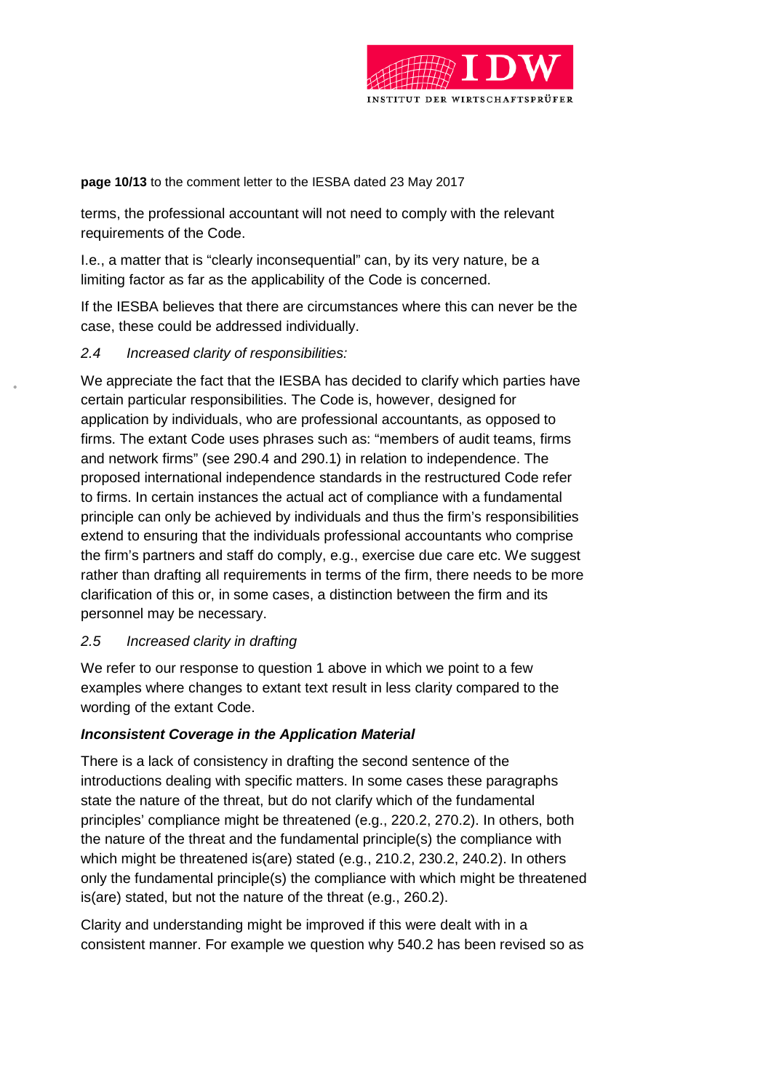

**page 10/13** to the comment letter to the IESBA dated 23 May 2017

terms, the professional accountant will not need to comply with the relevant requirements of the Code.

I.e., a matter that is "clearly inconsequential" can, by its very nature, be a limiting factor as far as the applicability of the Code is concerned.

If the IESBA believes that there are circumstances where this can never be the case, these could be addressed individually.

## *2.4 Increased clarity of responsibilities:*

We appreciate the fact that the IESBA has decided to clarify which parties have certain particular responsibilities. The Code is, however, designed for application by individuals, who are professional accountants, as opposed to firms. The extant Code uses phrases such as: "members of audit teams, firms and network firms" (see 290.4 and 290.1) in relation to independence. The proposed international independence standards in the restructured Code refer to firms. In certain instances the actual act of compliance with a fundamental principle can only be achieved by individuals and thus the firm's responsibilities extend to ensuring that the individuals professional accountants who comprise the firm's partners and staff do comply, e.g., exercise due care etc. We suggest rather than drafting all requirements in terms of the firm, there needs to be more clarification of this or, in some cases, a distinction between the firm and its personnel may be necessary.

#### *2.5 Increased clarity in drafting*

We refer to our response to question 1 above in which we point to a few examples where changes to extant text result in less clarity compared to the wording of the extant Code.

## *Inconsistent Coverage in the Application Material*

There is a lack of consistency in drafting the second sentence of the introductions dealing with specific matters. In some cases these paragraphs state the nature of the threat, but do not clarify which of the fundamental principles' compliance might be threatened (e.g., 220.2, 270.2). In others, both the nature of the threat and the fundamental principle(s) the compliance with which might be threatened is(are) stated (e.g., 210.2, 230.2, 240.2). In others only the fundamental principle(s) the compliance with which might be threatened is(are) stated, but not the nature of the threat (e.g., 260.2).

Clarity and understanding might be improved if this were dealt with in a consistent manner. For example we question why 540.2 has been revised so as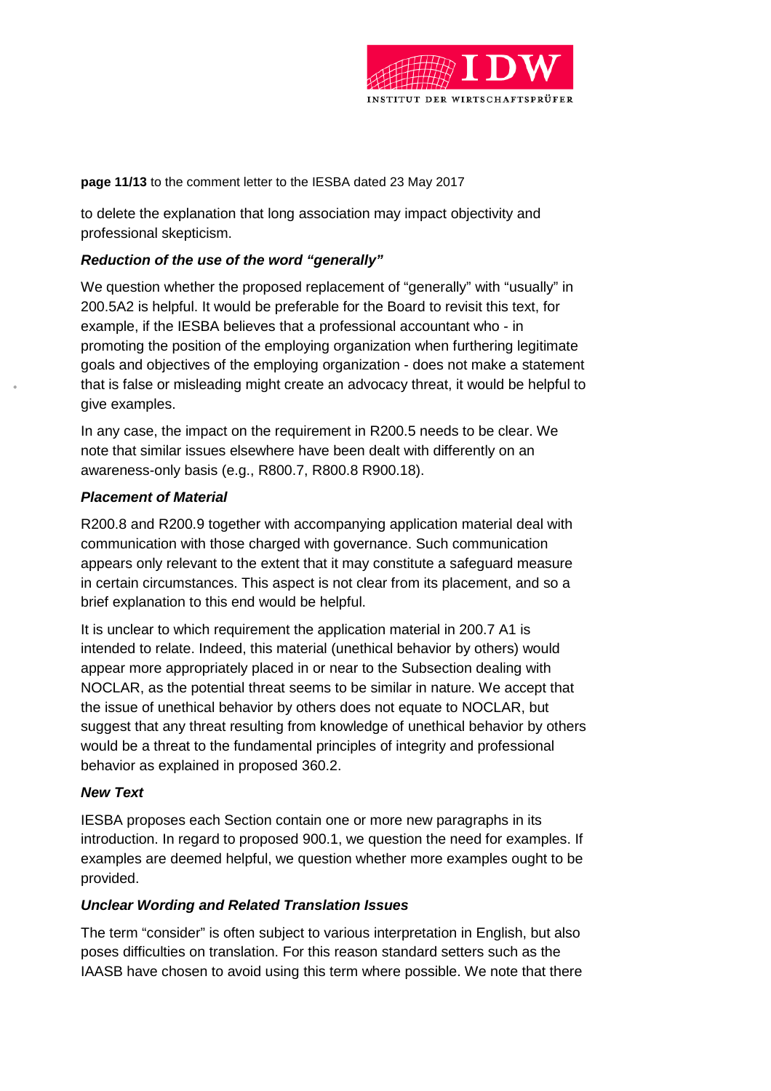

**page 11/13** to the comment letter to the IESBA dated 23 May 2017

to delete the explanation that long association may impact objectivity and professional skepticism.

#### *Reduction of the use of the word "generally"*

We question whether the proposed replacement of "generally" with "usually" in 200.5A2 is helpful. It would be preferable for the Board to revisit this text, for example, if the IESBA believes that a professional accountant who - in promoting the position of the employing organization when furthering legitimate goals and objectives of the employing organization - does not make a statement that is false or misleading might create an advocacy threat, it would be helpful to give examples.

In any case, the impact on the requirement in R200.5 needs to be clear. We note that similar issues elsewhere have been dealt with differently on an awareness-only basis (e.g., R800.7, R800.8 R900.18).

#### *Placement of Material*

R200.8 and R200.9 together with accompanying application material deal with communication with those charged with governance. Such communication appears only relevant to the extent that it may constitute a safeguard measure in certain circumstances. This aspect is not clear from its placement, and so a brief explanation to this end would be helpful.

It is unclear to which requirement the application material in 200.7 A1 is intended to relate. Indeed, this material (unethical behavior by others) would appear more appropriately placed in or near to the Subsection dealing with NOCLAR, as the potential threat seems to be similar in nature. We accept that the issue of unethical behavior by others does not equate to NOCLAR, but suggest that any threat resulting from knowledge of unethical behavior by others would be a threat to the fundamental principles of integrity and professional behavior as explained in proposed 360.2.

## *New Text*

IESBA proposes each Section contain one or more new paragraphs in its introduction. In regard to proposed 900.1, we question the need for examples. If examples are deemed helpful, we question whether more examples ought to be provided.

#### *Unclear Wording and Related Translation Issues*

The term "consider" is often subject to various interpretation in English, but also poses difficulties on translation. For this reason standard setters such as the IAASB have chosen to avoid using this term where possible. We note that there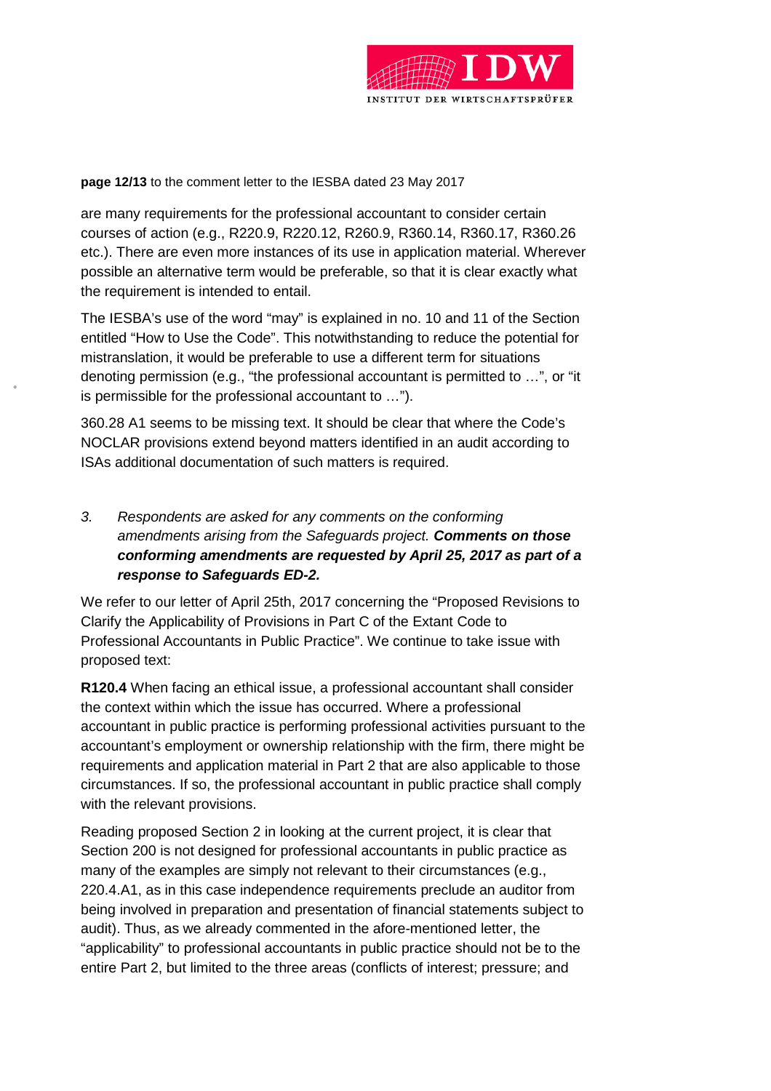

**page 12/13** to the comment letter to the IESBA dated 23 May 2017

are many requirements for the professional accountant to consider certain courses of action (e.g., R220.9, R220.12, R260.9, R360.14, R360.17, R360.26 etc.). There are even more instances of its use in application material. Wherever possible an alternative term would be preferable, so that it is clear exactly what the requirement is intended to entail.

The IESBA's use of the word "may" is explained in no. 10 and 11 of the Section entitled "How to Use the Code". This notwithstanding to reduce the potential for mistranslation, it would be preferable to use a different term for situations denoting permission (e.g., "the professional accountant is permitted to …", or "it is permissible for the professional accountant to …").

360.28 A1 seems to be missing text. It should be clear that where the Code's NOCLAR provisions extend beyond matters identified in an audit according to ISAs additional documentation of such matters is required.

# *3. Respondents are asked for any comments on the conforming amendments arising from the Safeguards project. Comments on those conforming amendments are requested by April 25, 2017 as part of a response to Safeguards ED-2.*

We refer to our letter of April 25th, 2017 concerning the "Proposed Revisions to Clarify the Applicability of Provisions in Part C of the Extant Code to Professional Accountants in Public Practice". We continue to take issue with proposed text:

**R120.4** When facing an ethical issue, a professional accountant shall consider the context within which the issue has occurred. Where a professional accountant in public practice is performing professional activities pursuant to the accountant's employment or ownership relationship with the firm, there might be requirements and application material in Part 2 that are also applicable to those circumstances. If so, the professional accountant in public practice shall comply with the relevant provisions.

Reading proposed Section 2 in looking at the current project, it is clear that Section 200 is not designed for professional accountants in public practice as many of the examples are simply not relevant to their circumstances (e.g., 220.4.A1, as in this case independence requirements preclude an auditor from being involved in preparation and presentation of financial statements subject to audit). Thus, as we already commented in the afore-mentioned letter, the "applicability" to professional accountants in public practice should not be to the entire Part 2, but limited to the three areas (conflicts of interest; pressure; and